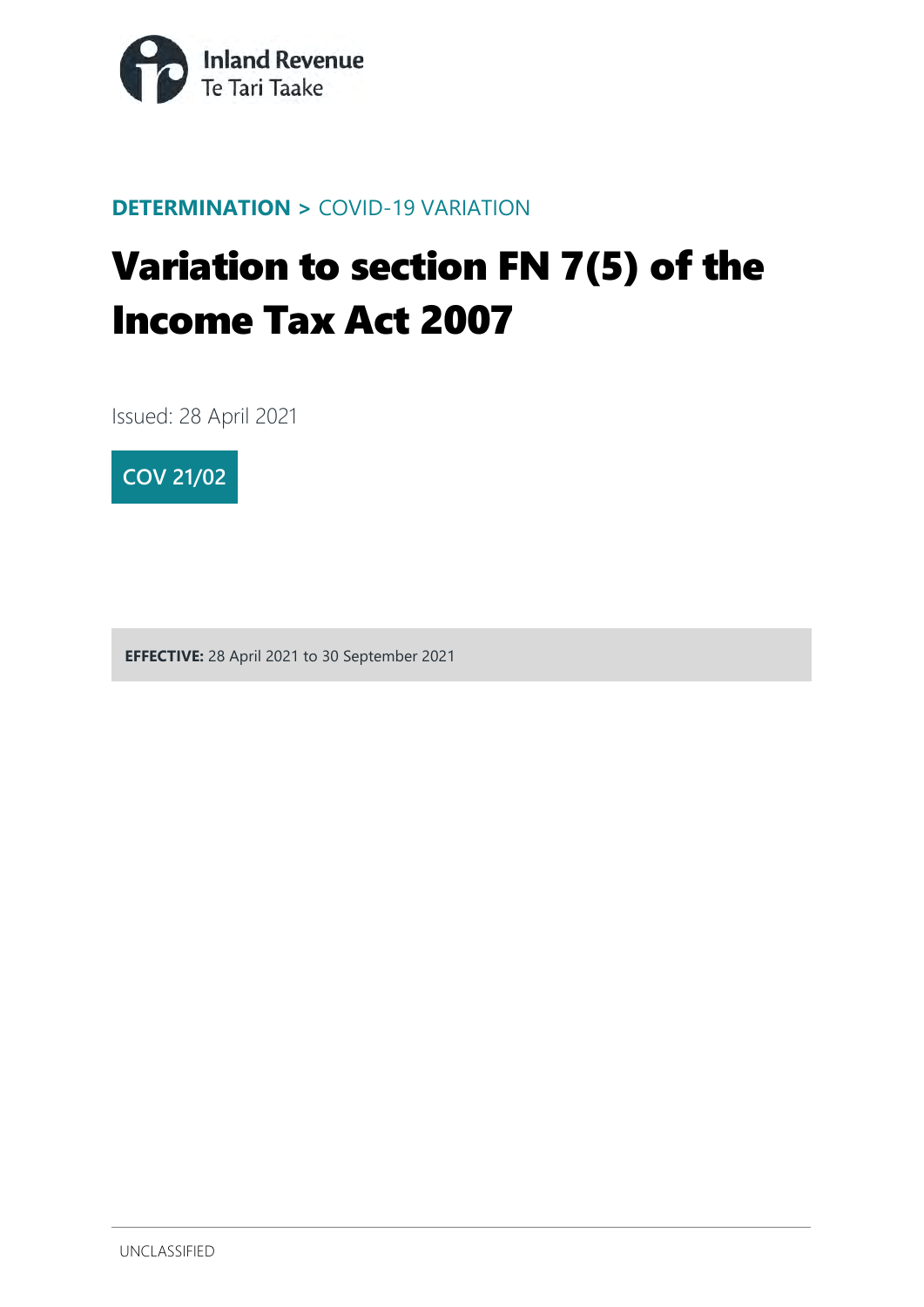

#### **DETERMINATION >** COVID-19 VARIATION

# Variation to section FN 7(5) of the Income Tax Act 2007

Issued: 28 April 2021



**EFFECTIVE:** 28 April 2021 to 30 September 2021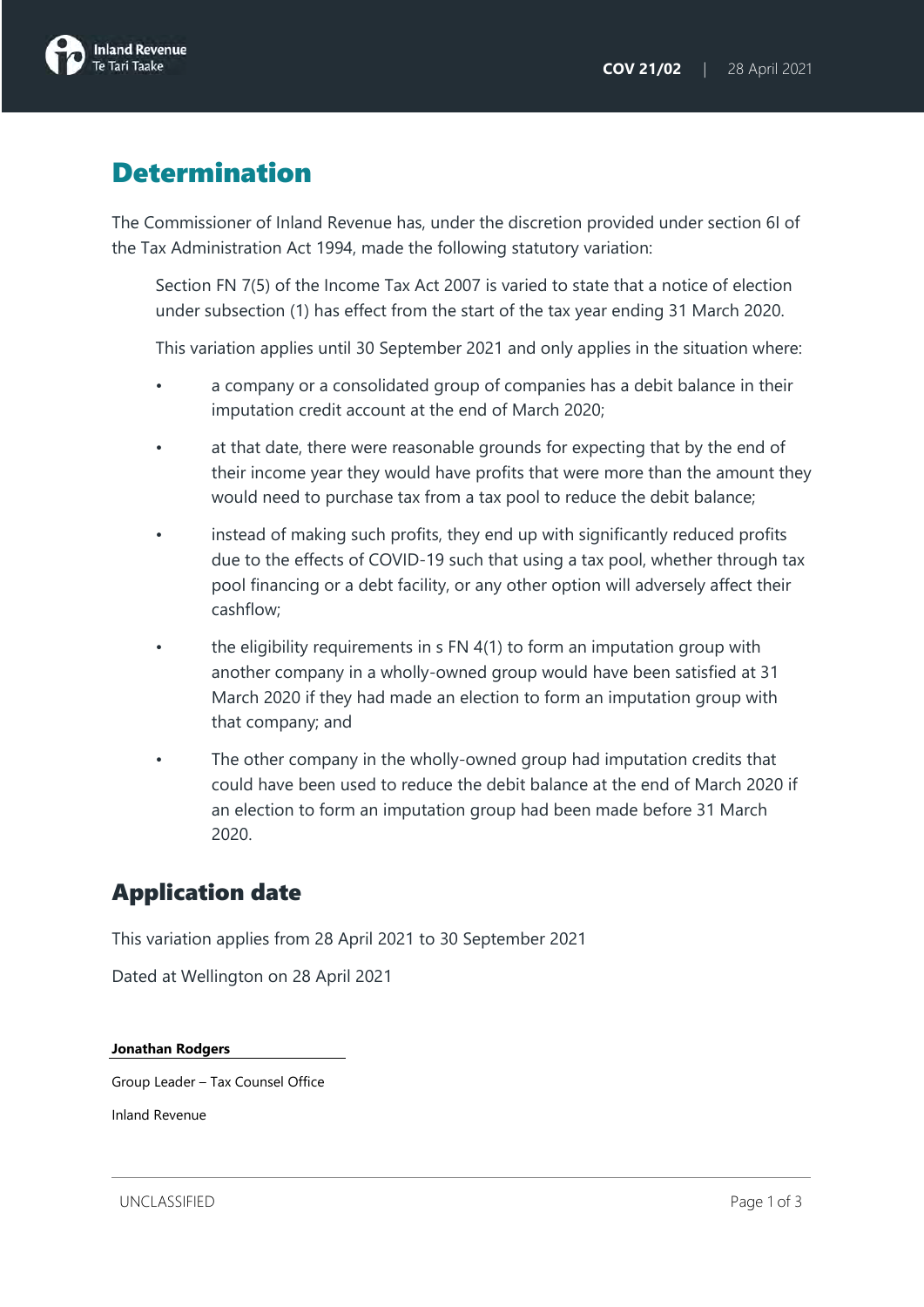

## **Determination**

The Commissioner of Inland Revenue has, under the discretion provided under section 6I of the Tax Administration Act 1994, made the following statutory variation:

Section FN 7(5) of the Income Tax Act 2007 is varied to state that a notice of election under subsection (1) has effect from the start of the tax year ending 31 March 2020.

This variation applies until 30 September 2021 and only applies in the situation where:

- a company or a consolidated group of companies has a debit balance in their imputation credit account at the end of March 2020;
- at that date, there were reasonable grounds for expecting that by the end of their income year they would have profits that were more than the amount they would need to purchase tax from a tax pool to reduce the debit balance;
- instead of making such profits, they end up with significantly reduced profits due to the effects of COVID-19 such that using a tax pool, whether through tax pool financing or a debt facility, or any other option will adversely affect their cashflow;
- the eligibility requirements in s FN 4(1) to form an imputation group with another company in a wholly-owned group would have been satisfied at 31 March 2020 if they had made an election to form an imputation group with that company; and
- The other company in the wholly-owned group had imputation credits that could have been used to reduce the debit balance at the end of March 2020 if an election to form an imputation group had been made before 31 March 2020.

#### Application date

This variation applies from 28 April 2021 to 30 September 2021

Dated at Wellington on 28 April 2021

**Jonathan Rodgers**

Group Leader – Tax Counsel Office

Inland Revenue

UNCLASSIFIED Page 1 of 3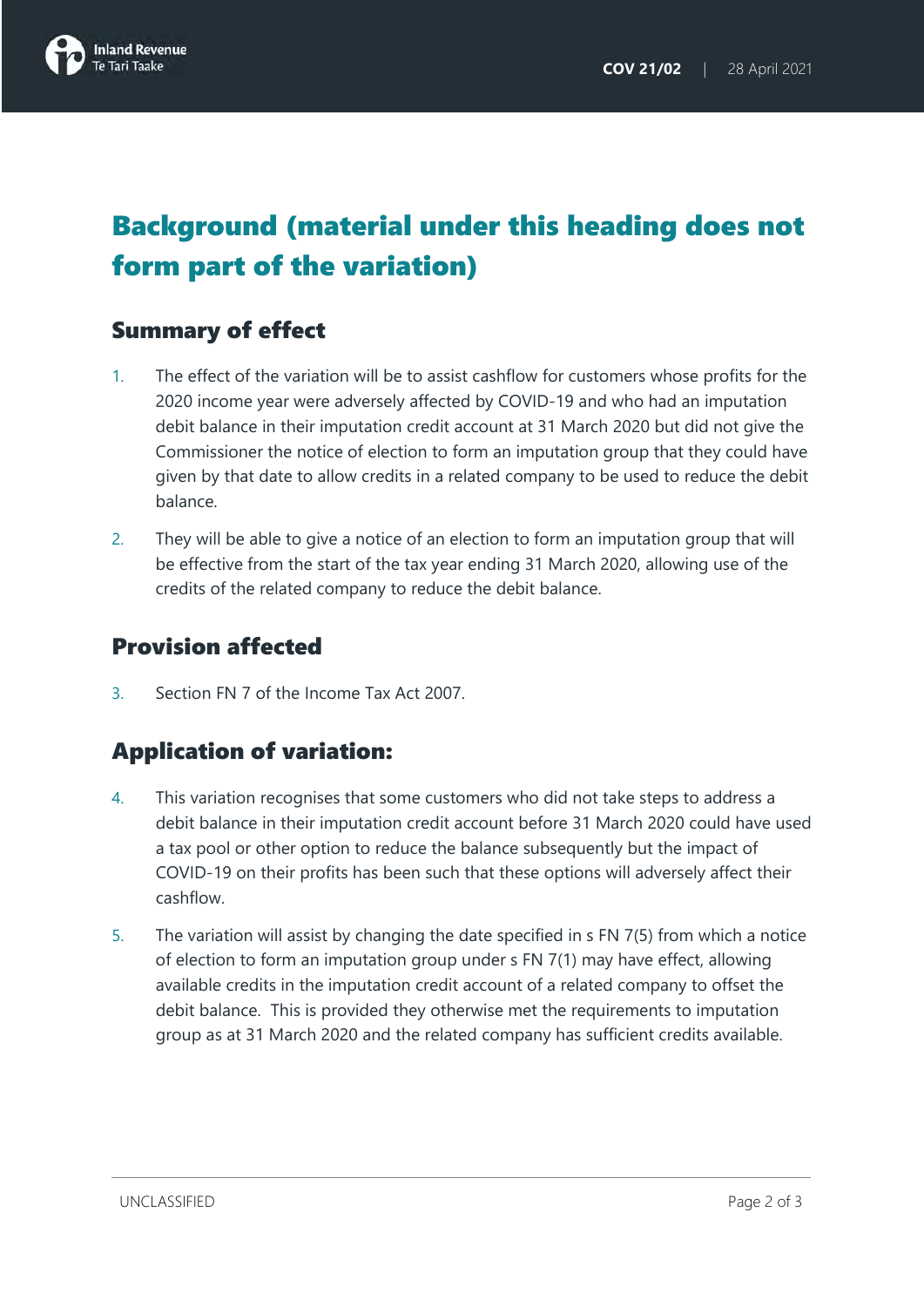

# Background (material under this heading does not form part of the variation)

## Summary of effect

- 1. The effect of the variation will be to assist cashflow for customers whose profits for the 2020 income year were adversely affected by COVID-19 and who had an imputation debit balance in their imputation credit account at 31 March 2020 but did not give the Commissioner the notice of election to form an imputation group that they could have given by that date to allow credits in a related company to be used to reduce the debit balance.
- 2. They will be able to give a notice of an election to form an imputation group that will be effective from the start of the tax year ending 31 March 2020, allowing use of the credits of the related company to reduce the debit balance.

#### Provision affected

3. Section FN 7 of the Income Tax Act 2007.

## Application of variation:

- 4. This variation recognises that some customers who did not take steps to address a debit balance in their imputation credit account before 31 March 2020 could have used a tax pool or other option to reduce the balance subsequently but the impact of COVID-19 on their profits has been such that these options will adversely affect their cashflow.
- 5. The variation will assist by changing the date specified in s FN 7(5) from which a notice of election to form an imputation group under s FN 7(1) may have effect, allowing available credits in the imputation credit account of a related company to offset the debit balance. This is provided they otherwise met the requirements to imputation group as at 31 March 2020 and the related company has sufficient credits available.